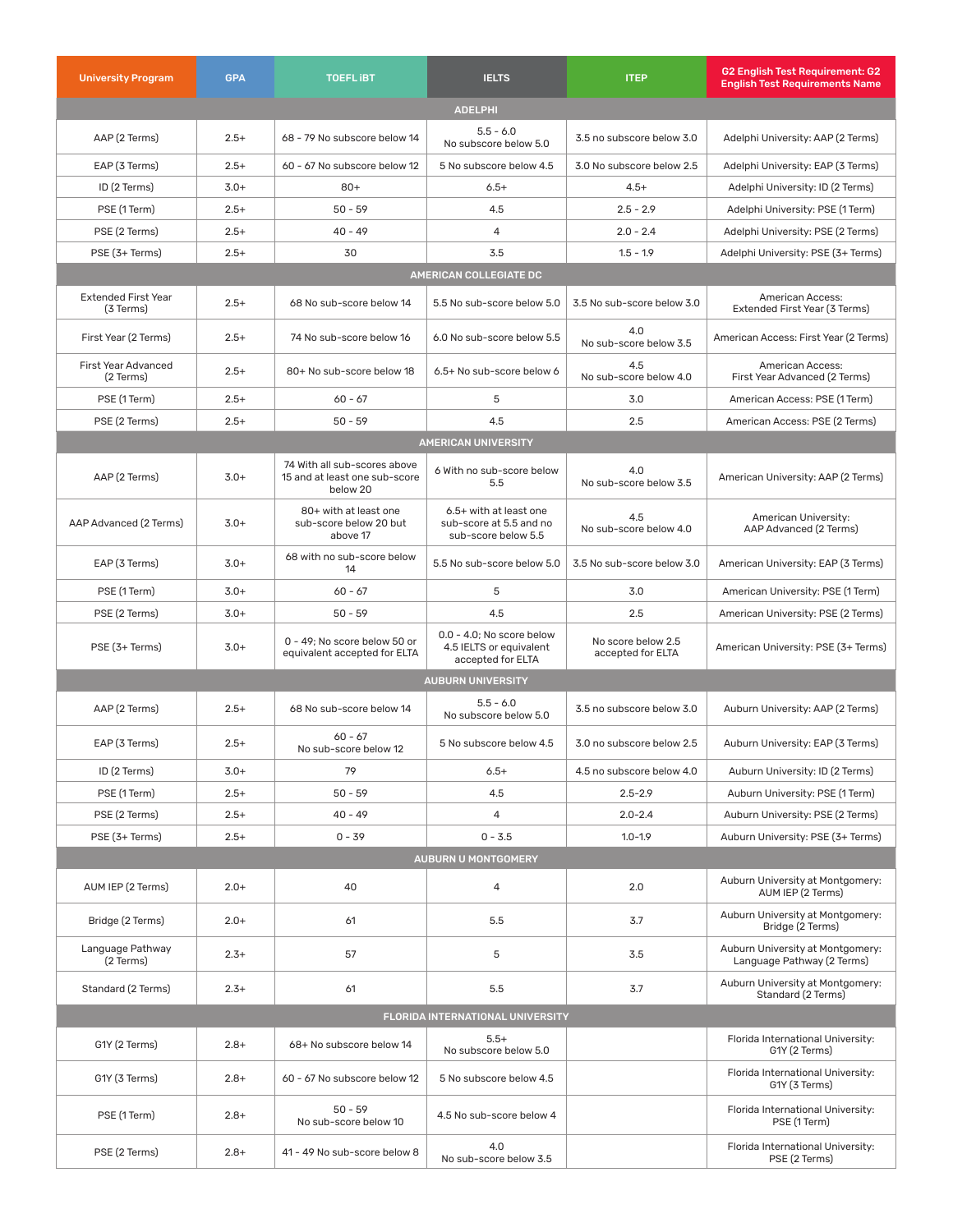| <b>University Program</b>               | <b>GPA</b> | <b>TOEFLIBT</b>                                                           | <b>IELTS</b>                                                                 | <b>ITEP</b>                             | G2 English Test Requirement: G2<br><b>English Test Requirements Name</b> |  |  |
|-----------------------------------------|------------|---------------------------------------------------------------------------|------------------------------------------------------------------------------|-----------------------------------------|--------------------------------------------------------------------------|--|--|
| <b>ADELPHI</b>                          |            |                                                                           |                                                                              |                                         |                                                                          |  |  |
| AAP (2 Terms)                           | $2.5+$     | 68 - 79 No subscore below 14                                              | $5.5 - 6.0$<br>No subscore below 5.0                                         | 3.5 no subscore below 3.0               | Adelphi University: AAP (2 Terms)                                        |  |  |
| EAP (3 Terms)                           | $2.5+$     | 60 - 67 No subscore below 12                                              | 5 No subscore below 4.5                                                      | 3.0 No subscore below 2.5               | Adelphi University: EAP (3 Terms)                                        |  |  |
| ID (2 Terms)                            | $3.0+$     | $80+$                                                                     | $6.5+$                                                                       | $4.5+$                                  | Adelphi University: ID (2 Terms)                                         |  |  |
| PSE (1 Term)                            | $2.5+$     | $50 - 59$                                                                 | 4.5                                                                          | $2.5 - 2.9$                             | Adelphi University: PSE (1 Term)                                         |  |  |
| PSE (2 Terms)                           | $2.5+$     | $40 - 49$                                                                 | $\overline{4}$                                                               | $2.0 - 2.4$                             | Adelphi University: PSE (2 Terms)                                        |  |  |
| PSE (3+ Terms)                          | $2.5+$     | 30                                                                        | 3.5                                                                          | $1.5 - 1.9$                             | Adelphi University: PSE (3+ Terms)                                       |  |  |
| AMERICAN COLLEGIATE DC                  |            |                                                                           |                                                                              |                                         |                                                                          |  |  |
| <b>Extended First Year</b><br>(3 Terms) | $2.5+$     | 68 No sub-score below 14                                                  | 5.5 No sub-score below 5.0                                                   | 3.5 No sub-score below 3.0              | American Access:<br>Extended First Year (3 Terms)                        |  |  |
| First Year (2 Terms)                    | $2.5+$     | 74 No sub-score below 16                                                  | 6.0 No sub-score below 5.5                                                   | 4.0<br>No sub-score below 3.5           | American Access: First Year (2 Terms)                                    |  |  |
| <b>First Year Advanced</b><br>(2 Terms) | $2.5+$     | 80+ No sub-score below 18                                                 | 6.5+ No sub-score below 6                                                    | 4.5<br>No sub-score below 4.0           | American Access:<br>First Year Advanced (2 Terms)                        |  |  |
| PSE (1 Term)                            | $2.5+$     | $60 - 67$                                                                 | 5                                                                            | 3.0                                     | American Access: PSE (1 Term)                                            |  |  |
| PSE (2 Terms)                           | $2.5+$     | $50 - 59$                                                                 | 4.5                                                                          | 2.5                                     | American Access: PSE (2 Terms)                                           |  |  |
|                                         |            |                                                                           | <b>AMERICAN UNIVERSITY</b>                                                   |                                         |                                                                          |  |  |
| AAP (2 Terms)                           | $3.0+$     | 74 With all sub-scores above<br>15 and at least one sub-score<br>below 20 | 6 With no sub-score below<br>5.5                                             | 4.0<br>No sub-score below 3.5           | American University: AAP (2 Terms)                                       |  |  |
| AAP Advanced (2 Terms)                  | $3.0+$     | 80+ with at least one<br>sub-score below 20 but<br>above 17               | 6.5+ with at least one<br>sub-score at 5.5 and no<br>sub-score below 5.5     | 4.5<br>No sub-score below 4.0           | American University:<br>AAP Advanced (2 Terms)                           |  |  |
| EAP (3 Terms)                           | $3.0+$     | 68 with no sub-score below<br>14                                          | 5.5 No sub-score below 5.0                                                   | 3.5 No sub-score below 3.0              | American University: EAP (3 Terms)                                       |  |  |
| PSE (1 Term)                            | $3.0+$     | $60 - 67$                                                                 | 5                                                                            | 3.0                                     | American University: PSE (1 Term)                                        |  |  |
| PSE (2 Terms)                           | $3.0+$     | $50 - 59$                                                                 | 4.5                                                                          | 2.5                                     | American University: PSE (2 Terms)                                       |  |  |
| PSE (3+ Terms)                          | $3.0+$     | 0 - 49; No score below 50 or<br>equivalent accepted for ELTA              | $0.0 - 4.0$ : No score below<br>4.5 IELTS or equivalent<br>accepted for ELTA | No score below 2.5<br>accepted for ELTA | American University: PSE (3+ Terms)                                      |  |  |
| <b>AUBURN UNIVERSITY</b>                |            |                                                                           |                                                                              |                                         |                                                                          |  |  |
| AAP (2 Terms)                           | $2.5+$     | 68 No sub-score below 14                                                  | $5.5 - 6.0$<br>No subscore below 5.0                                         | 3.5 no subscore below 3.0               | Auburn University: AAP (2 Terms)                                         |  |  |
| EAP (3 Terms)                           | $2.5+$     | $60 - 67$<br>No sub-score below 12                                        | 5 No subscore below 4.5                                                      | 3.0 no subscore below 2.5               | Auburn University: EAP (3 Terms)                                         |  |  |
| ID (2 Terms)                            | $3.0+$     | 79                                                                        | $6.5+$                                                                       | 4.5 no subscore below 4.0               | Auburn University: ID (2 Terms)                                          |  |  |
| PSE (1 Term)                            | $2.5+$     | $50 - 59$                                                                 | 4.5                                                                          | $2.5 - 2.9$                             | Auburn University: PSE (1 Term)                                          |  |  |
| PSE (2 Terms)                           | $2.5+$     | $40 - 49$                                                                 | 4                                                                            | $2.0 - 2.4$                             | Auburn University: PSE (2 Terms)                                         |  |  |
| PSE (3+ Terms)                          | $2.5+$     | $0 - 39$                                                                  | $0 - 3.5$                                                                    | $1.0 - 1.9$                             | Auburn University: PSE (3+ Terms)                                        |  |  |
| <b>AUBURN U MONTGOMERY</b>              |            |                                                                           |                                                                              |                                         |                                                                          |  |  |
| AUM IEP (2 Terms)                       | $2.0+$     | 40                                                                        | 4                                                                            | 2.0                                     | Auburn University at Montgomery:<br>AUM IEP (2 Terms)                    |  |  |
| Bridge (2 Terms)                        | $2.0+$     | 61                                                                        | 5.5                                                                          | 3.7                                     | Auburn University at Montgomery:<br>Bridge (2 Terms)                     |  |  |
| Language Pathway<br>(2 Terms)           | $2.3+$     | 57                                                                        | 5                                                                            | 3.5                                     | Auburn University at Montgomery:<br>Language Pathway (2 Terms)           |  |  |
| Standard (2 Terms)                      | $2.3+$     | 61                                                                        | 5.5                                                                          | 3.7                                     | Auburn University at Montgomery:<br>Standard (2 Terms)                   |  |  |
| FLORIDA INTERNATIONAL UNIVERSITY        |            |                                                                           |                                                                              |                                         |                                                                          |  |  |
| G1Y (2 Terms)                           | $2.8+$     | 68+ No subscore below 14                                                  | $5.5+$<br>No subscore below 5.0                                              |                                         | Florida International University:<br>G1Y (2 Terms)                       |  |  |
| G1Y (3 Terms)                           | $2.8+$     | 60 - 67 No subscore below 12                                              | 5 No subscore below 4.5                                                      |                                         | Florida International University:<br>G1Y (3 Terms)                       |  |  |
| PSE (1 Term)                            | $2.8+$     | $50 - 59$<br>No sub-score below 10                                        | 4.5 No sub-score below 4                                                     |                                         | Florida International University:<br>PSE (1 Term)                        |  |  |
| PSE (2 Terms)                           | $2.8+$     | 41 - 49 No sub-score below 8                                              | 4.0<br>No sub-score below 3.5                                                |                                         | Florida International University:<br>PSE (2 Terms)                       |  |  |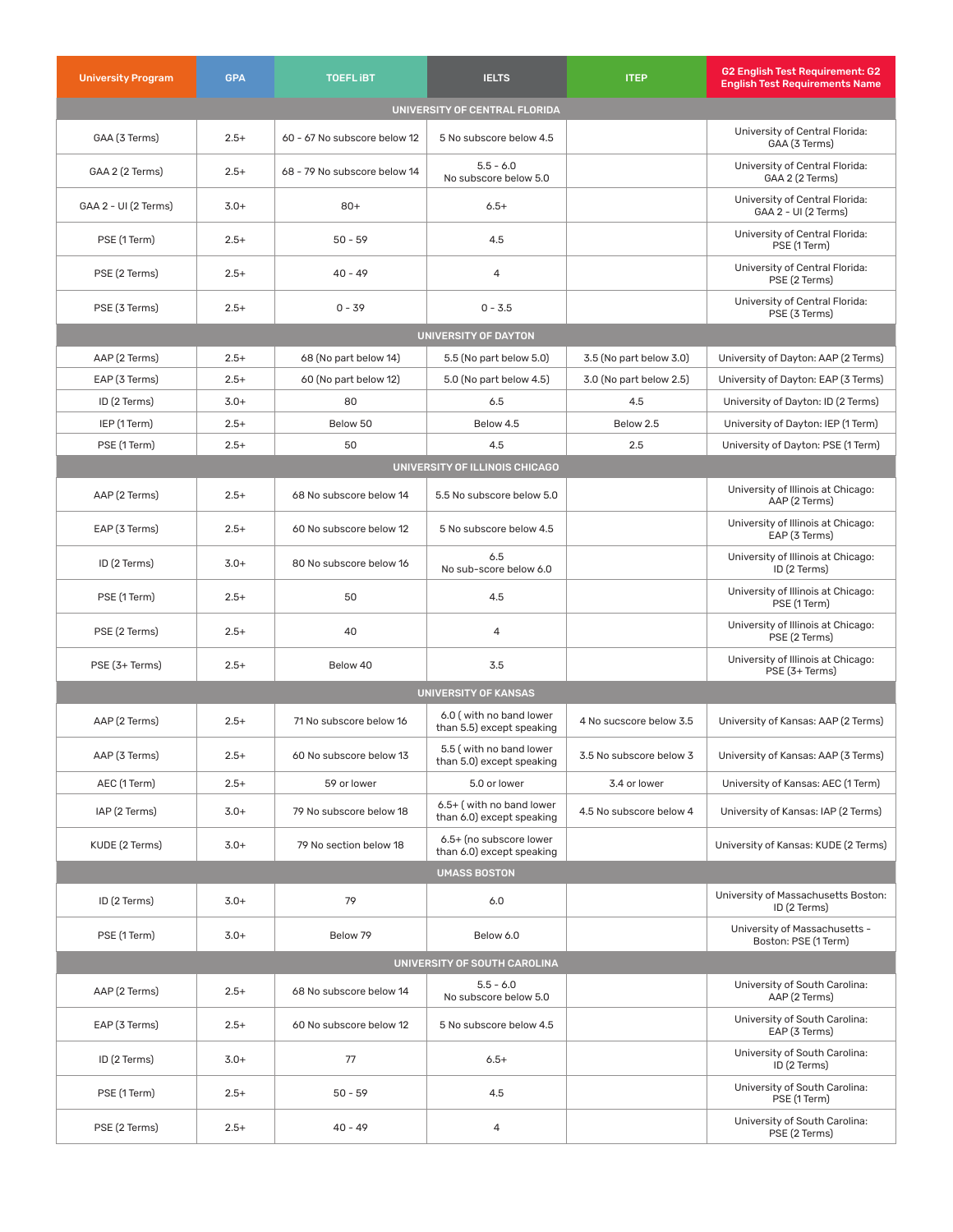| <b>University Program</b>     | <b>GPA</b> | <b>TOEFLIBT</b>              | <b>IELTS</b>                                          | <b>ITEP</b>             | G2 English Test Requirement: G2<br><b>English Test Requirements Name</b> |  |  |  |
|-------------------------------|------------|------------------------------|-------------------------------------------------------|-------------------------|--------------------------------------------------------------------------|--|--|--|
| UNIVERSITY OF CENTRAL FLORIDA |            |                              |                                                       |                         |                                                                          |  |  |  |
| GAA (3 Terms)                 | $2.5+$     | 60 - 67 No subscore below 12 | 5 No subscore below 4.5                               |                         | University of Central Florida:<br>GAA (3 Terms)                          |  |  |  |
| GAA 2 (2 Terms)               | $2.5+$     | 68 - 79 No subscore below 14 | $5.5 - 6.0$<br>No subscore below 5.0                  |                         | University of Central Florida:<br>GAA 2 (2 Terms)                        |  |  |  |
| GAA 2 - UI (2 Terms)          | $3.0+$     | $80+$                        | $6.5+$                                                |                         | University of Central Florida:<br>GAA 2 - UI (2 Terms)                   |  |  |  |
| PSE (1 Term)                  | $2.5+$     | $50 - 59$                    | 4.5                                                   |                         | University of Central Florida:<br>PSE (1 Term)                           |  |  |  |
| PSE (2 Terms)                 | $2.5+$     | $40 - 49$                    | 4                                                     |                         | University of Central Florida:<br>PSE (2 Terms)                          |  |  |  |
| PSE (3 Terms)                 | $2.5+$     | $0 - 39$                     | $0 - 3.5$                                             |                         | University of Central Florida:<br>PSE (3 Terms)                          |  |  |  |
|                               |            |                              | UNIVERSITY OF DAYTON                                  |                         |                                                                          |  |  |  |
| AAP (2 Terms)                 | $2.5+$     | 68 (No part below 14)        | 5.5 (No part below 5.0)                               | 3.5 (No part below 3.0) | University of Dayton: AAP (2 Terms)                                      |  |  |  |
| EAP (3 Terms)                 | $2.5+$     | 60 (No part below 12)        | 5.0 (No part below 4.5)                               | 3.0 (No part below 2.5) | University of Dayton: EAP (3 Terms)                                      |  |  |  |
| ID (2 Terms)                  | $3.0+$     | 80                           | 6.5                                                   | 4.5                     | University of Dayton: ID (2 Terms)                                       |  |  |  |
| IEP (1 Term)                  | $2.5+$     | Below 50                     | Below 4.5                                             | Below 2.5               | University of Dayton: IEP (1 Term)                                       |  |  |  |
| PSE (1 Term)                  | $2.5+$     | 50                           | 4.5                                                   | 2.5                     | University of Dayton: PSE (1 Term)                                       |  |  |  |
|                               |            |                              | UNIVERSITY OF ILLINOIS CHICAGO                        |                         |                                                                          |  |  |  |
| AAP (2 Terms)                 | $2.5+$     | 68 No subscore below 14      | 5.5 No subscore below 5.0                             |                         | University of Illinois at Chicago:<br>AAP (2 Terms)                      |  |  |  |
| EAP (3 Terms)                 | $2.5+$     | 60 No subscore below 12      | 5 No subscore below 4.5                               |                         | University of Illinois at Chicago:<br>EAP (3 Terms)                      |  |  |  |
| ID (2 Terms)                  | $3.0+$     | 80 No subscore below 16      | 6.5<br>No sub-score below 6.0                         |                         | University of Illinois at Chicago:<br>ID (2 Terms)                       |  |  |  |
| PSE (1 Term)                  | $2.5+$     | 50                           | 4.5                                                   |                         | University of Illinois at Chicago:<br>PSE (1 Term)                       |  |  |  |
| PSE (2 Terms)                 | $2.5+$     | 40                           | 4                                                     |                         | University of Illinois at Chicago:<br>PSE (2 Terms)                      |  |  |  |
| PSE (3+ Terms)                | $2.5+$     | Below 40                     | 3.5                                                   |                         | University of Illinois at Chicago:<br>PSE (3+ Terms)                     |  |  |  |
|                               |            |                              | <b>UNIVERSITY OF KANSAS</b>                           |                         |                                                                          |  |  |  |
| AAP (2 Terms)                 | $2.5+$     | 71 No subscore below 16      | 6.0 (with no band lower<br>than 5.5) except speaking  | 4 No sucscore below 3.5 | University of Kansas: AAP (2 Terms)                                      |  |  |  |
| AAP (3 Terms)                 | $2.5+$     | 60 No subscore below 13      | 5.5 (with no band lower<br>than 5.0) except speaking  | 3.5 No subscore below 3 | University of Kansas: AAP (3 Terms)                                      |  |  |  |
| AEC (1 Term)                  | $2.5+$     | 59 or lower                  | 5.0 or lower                                          | 3.4 or lower            | University of Kansas: AEC (1 Term)                                       |  |  |  |
| IAP (2 Terms)                 | $3.0+$     | 79 No subscore below 18      | 6.5+ (with no band lower<br>than 6.0) except speaking | 4.5 No subscore below 4 | University of Kansas: IAP (2 Terms)                                      |  |  |  |
| KUDE (2 Terms)                | $3.0+$     | 79 No section below 18       | 6.5+ (no subscore lower<br>than 6.0) except speaking  |                         | University of Kansas: KUDE (2 Terms)                                     |  |  |  |
|                               |            |                              | <b>UMASS BOSTON</b>                                   |                         |                                                                          |  |  |  |
| ID (2 Terms)                  | $3.0+$     | 79                           | 6.0                                                   |                         | University of Massachusetts Boston:<br>ID (2 Terms)                      |  |  |  |
| PSE (1 Term)                  | $3.0+$     | Below 79                     | Below 6.0                                             |                         | University of Massachusetts -<br>Boston: PSE (1 Term)                    |  |  |  |
| UNIVERSITY OF SOUTH CAROLINA  |            |                              |                                                       |                         |                                                                          |  |  |  |
| AAP (2 Terms)                 | $2.5+$     | 68 No subscore below 14      | $5.5 - 6.0$<br>No subscore below 5.0                  |                         | University of South Carolina:<br>AAP (2 Terms)                           |  |  |  |
| EAP (3 Terms)                 | $2.5+$     | 60 No subscore below 12      | 5 No subscore below 4.5                               |                         | University of South Carolina:<br>EAP (3 Terms)                           |  |  |  |
| ID (2 Terms)                  | $3.0+$     | 77                           | $6.5+$                                                |                         | University of South Carolina:<br>ID (2 Terms)                            |  |  |  |
| PSE (1 Term)                  | $2.5+$     | $50 - 59$                    | 4.5                                                   |                         | University of South Carolina:<br>PSE (1 Term)                            |  |  |  |
| PSE (2 Terms)                 | $2.5+$     | $40 - 49$                    | 4                                                     |                         | University of South Carolina:<br>PSE (2 Terms)                           |  |  |  |